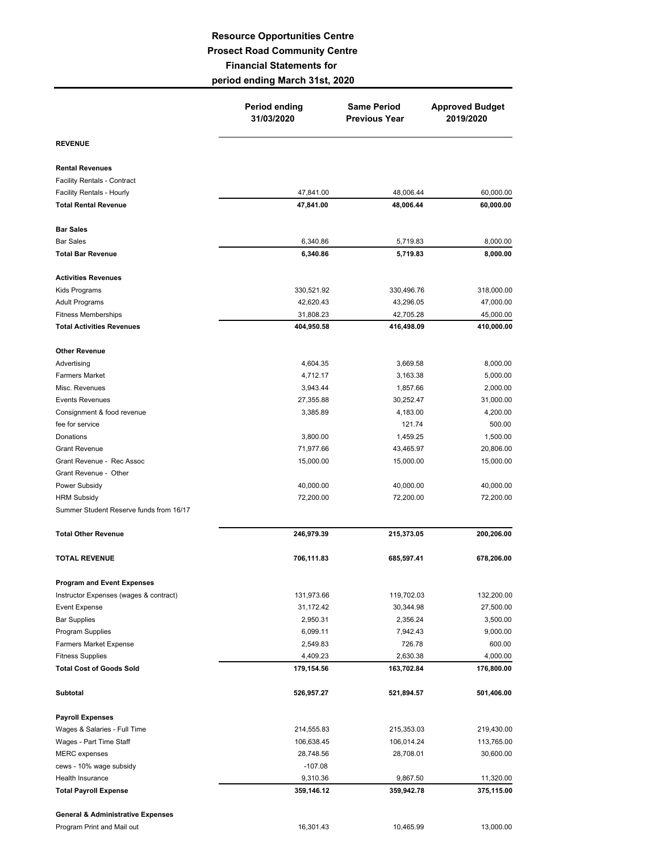## **Resource Opportunities Centre Prosect Road Community Centre Financial Statements for**

**period ending March 31st, 2020**

|                                              | <b>Period ending</b><br>31/03/2020 | <b>Same Period</b><br><b>Previous Year</b> | <b>Approved Budget</b><br>2019/2020 |
|----------------------------------------------|------------------------------------|--------------------------------------------|-------------------------------------|
| <b>REVENUE</b>                               |                                    |                                            |                                     |
| <b>Rental Revenues</b>                       |                                    |                                            |                                     |
| Facility Rentals - Contract                  |                                    |                                            |                                     |
| Facility Rentals - Hourly                    | 47,841.00                          | 48,006.44                                  | 60,000.00                           |
| <b>Total Rental Revenue</b>                  | 47,841.00                          | 48,006.44                                  | 60,000.00                           |
| <b>Bar Sales</b>                             |                                    |                                            |                                     |
| <b>Bar Sales</b>                             | 6,340.86                           | 5,719.83                                   | 8,000.00                            |
| <b>Total Bar Revenue</b>                     | 6,340.86                           | 5,719.83                                   | 8,000.00                            |
| <b>Activities Revenues</b>                   |                                    |                                            |                                     |
| Kids Programs                                | 330,521.92                         | 330,496.76                                 | 318,000.00                          |
| <b>Adult Programs</b>                        | 42,620.43                          | 43,296.05                                  | 47,000.00                           |
| <b>Fitness Memberships</b>                   | 31,808.23                          | 42,705.28                                  | 45,000.00                           |
| <b>Total Activities Revenues</b>             | 404,950.58                         | 416,498.09                                 | 410,000.00                          |
| <b>Other Revenue</b>                         |                                    |                                            |                                     |
| Advertising                                  | 4,604.35                           | 3,669.58                                   | 8,000.00                            |
| <b>Farmers Market</b>                        | 4,712.17                           | 3,163.38                                   | 5,000.00                            |
| Misc. Revenues                               | 3,943.44                           | 1,857.66                                   | 2,000.00                            |
| <b>Events Revenues</b>                       | 27,355.88                          | 30,252.47                                  | 31,000.00                           |
| Consignment & food revenue                   | 3,385.89                           | 4,183.00                                   | 4,200.00                            |
| fee for service                              |                                    | 121.74                                     | 500.00                              |
| Donations                                    | 3,800.00                           | 1,459.25                                   | 1,500.00                            |
| <b>Grant Revenue</b>                         | 71,977.66                          | 43,465.97                                  | 20,806.00                           |
| Grant Revenue - Rec Assoc                    | 15,000.00                          | 15,000.00                                  | 15,000.00                           |
| Grant Revenue - Other                        |                                    |                                            |                                     |
| Power Subsidy                                | 40,000.00                          | 40,000.00                                  | 40,000.00                           |
| <b>HRM Subsidy</b>                           | 72,200.00                          | 72,200.00                                  | 72,200.00                           |
| Summer Student Reserve funds from 16/17      |                                    |                                            |                                     |
| <b>Total Other Revenue</b>                   | 246,979.39                         | 215,373.05                                 | 200,206.00                          |
| <b>TOTAL REVENUE</b>                         | 706,111.83                         | 685,597.41                                 | 678,206.00                          |
| <b>Program and Event Expenses</b>            |                                    |                                            |                                     |
| Instructor Expenses (wages & contract)       | 131,973.66                         | 119,702.03                                 | 132,200.00                          |
| <b>Event Expense</b>                         | 31,172.42                          | 30,344.98                                  | 27,500.00                           |
| <b>Bar Supplies</b>                          | 2,950.31                           | 2,356.24                                   | 3,500.00                            |
| Program Supplies                             | 6,099.11                           | 7,942.43                                   | 9,000.00                            |
| <b>Farmers Market Expense</b>                | 2,549.83                           | 726.78                                     | 600.00                              |
| <b>Fitness Supplies</b>                      | 4,409.23                           | 2,630.38                                   | 4,000.00                            |
| <b>Total Cost of Goods Sold</b>              | 179,154.56                         | 163,702.84                                 | 176,800.00                          |
| Subtotal                                     | 526,957.27                         | 521,894.57                                 | 501,406.00                          |
| <b>Payroll Expenses</b>                      |                                    |                                            |                                     |
| Wages & Salaries - Full Time                 | 214,555.83                         | 215,353.03                                 | 219,430.00                          |
| Wages - Part Time Staff                      | 106,638.45                         | 106,014.24                                 | 113,765.00                          |
| <b>MERC</b> expenses                         | 28,748.56                          | 28,708.01                                  | 30,600.00                           |
| cews - 10% wage subsidy                      | $-107.08$                          |                                            |                                     |
| Health Insurance                             | 9,310.36                           | 9,867.50                                   | 11,320.00                           |
| <b>Total Payroll Expense</b>                 | 359,146.12                         | 359,942.78                                 | 375,115.00                          |
| <b>General &amp; Administrative Expenses</b> |                                    |                                            |                                     |
| Program Print and Mail out                   | 16,301.43                          | 10,465.99                                  | 13,000.00                           |